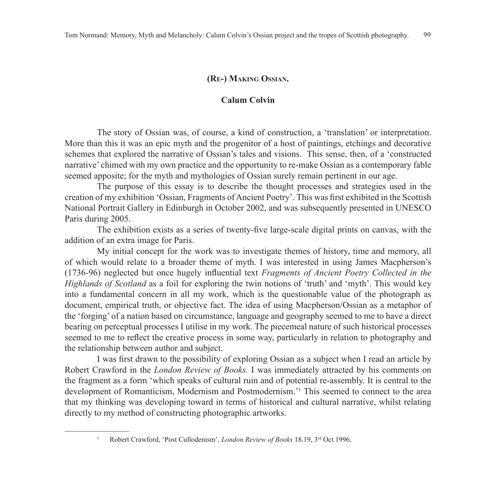## **(Re-) Making Ossian.**

## **Calum Colvin**

The story of Ossian was, of course, a kind of construction, a 'translation' or interpretation. More than this it was an epic myth and the progenitor of a host of paintings, etchings and decorative schemes that explored the narrative of Ossian's tales and visions. This sense, then, of a 'constructed narrative' chimed with my own practice and the opportunity to re-make Ossian as a contemporary fable seemed apposite; for the myth and mythologies of Ossian surely remain pertinent in our age.

The purpose of this essay is to describe the thought processes and strategies used in the creation of my exhibition 'Ossian, Fragments of Ancient Poetry'. This was first exhibited in the Scottish National Portrait Gallery in Edinburgh in October 2002, and was subsequently presented in UNESCO Paris during 2005.

The exhibition exists as a series of twenty-five large-scale digital prints on canvas, with the addition of an extra image for Paris.

My initial concept for the work was to investigate themes of history, time and memory, all of which would relate to a broader theme of myth. I was interested in using James Macpherson's (1736-96) neglected but once hugely influential text *Fragments of Ancient Poetry Collected in the Highlands of Scotland* as a foil for exploring the twin notions of 'truth' and 'myth'. This would key into a fundamental concern in all my work, which is the questionable value of the photograph as document, empirical truth, or objective fact. The idea of using Macpherson/Ossian as a metaphor of the 'forging' of a nation based on circumstance, language and geography seemed to me to have a direct bearing on perceptual processes I utilise in my work. The piecemeal nature of such historical processes seemed to me to reflect the creative process in some way, particularly in relation to photography and the relationship between author and subject.

I was first drawn to the possibility of exploring Ossian as a subject when I read an article by Robert Crawford in the *London Review of Books.* I was immediately attracted by his comments on the fragment as a form 'which speaks of cultural ruin and of potential re-assembly. It is central to the development of Romanticism, Modernism and Postmodernism.'1 This seemed to connect to the area that my thinking was developing toward in terms of historical and cultural narrative, whilst relating directly to my method of constructing photographic artworks.

<sup>1</sup> Robert Crawford, 'Post Cullodenism'*, London Review of Books* 18.19, 3rd Oct 1996.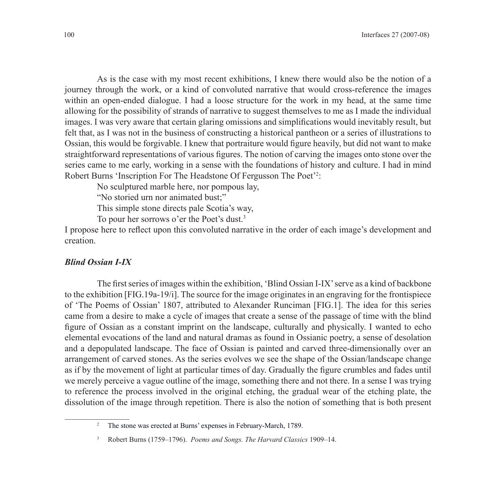As is the case with my most recent exhibitions, I knew there would also be the notion of a journey through the work, or a kind of convoluted narrative that would cross-reference the images within an open-ended dialogue. I had a loose structure for the work in my head, at the same time allowing for the possibility of strands of narrative to suggest themselves to me as I made the individual images. I was very aware that certain glaring omissions and simplifications would inevitably result, but felt that, as I was not in the business of constructing a historical pantheon or a series of illustrations to Ossian, this would be forgivable. I knew that portraiture would figure heavily, but did not want to make straightforward representations of various figures. The notion of carving the images onto stone over the series came to me early, working in a sense with the foundations of history and culture. I had in mind Robert Burns 'Inscription For The Headstone Of Fergusson The Poet'2:

No sculptured marble here, nor pompous lay,

"No storied urn nor animated bust;"

This simple stone directs pale Scotia's way,

To pour her sorrows o'er the Poet's dust.3

I propose here to reflect upon this convoluted narrative in the order of each image's development and creation.

## *Blind Ossian I-IX*

The first series of images within the exhibition, 'Blind Ossian I-IX' serve as a kind of backbone to the exhibition [FIG.19a-19/i]. The source for the image originates in an engraving for the frontispiece of 'The Poems of Ossian' 1807, attributed to Alexander Runciman [FIG.1]. The idea for this series came from a desire to make a cycle of images that create a sense of the passage of time with the blind figure of Ossian as a constant imprint on the landscape, culturally and physically. I wanted to echo elemental evocations of the land and natural dramas as found in Ossianic poetry, a sense of desolation and a depopulated landscape. The face of Ossian is painted and carved three-dimensionally over an arrangement of carved stones. As the series evolves we see the shape of the Ossian/landscape change as if by the movement of light at particular times of day. Gradually the figure crumbles and fades until we merely perceive a vague outline of the image, something there and not there. In a sense I was trying to reference the process involved in the original etching, the gradual wear of the etching plate, the dissolution of the image through repetition. There is also the notion of something that is both present

<sup>&</sup>lt;sup>2</sup> The stone was erected at Burns' expenses in February-March, 1789.

<sup>3</sup> Robert Burns (1759–1796). *Poems and Songs. The Harvard Classics* 1909–14.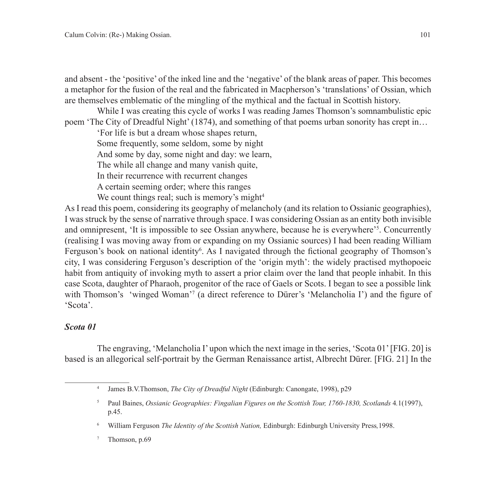and absent - the 'positive' of the inked line and the 'negative' of the blank areas of paper. This becomes a metaphor for the fusion of the real and the fabricated in Macpherson's 'translations' of Ossian, which are themselves emblematic of the mingling of the mythical and the factual in Scottish history.

While I was creating this cycle of works I was reading James Thomson's somnambulistic epic poem 'The City of Dreadful Night' (1874), and something of that poems urban sonority has crept in…

'For life is but a dream whose shapes return, Some frequently, some seldom, some by night

And some by day, some night and day: we learn,

The while all change and many vanish quite,

In their recurrence with recurrent changes

A certain seeming order; where this ranges

We count things real; such is memory's might<sup>4</sup>

As I read this poem, considering its geography of melancholy (and its relation to Ossianic geographies), I was struck by the sense of narrative through space. I was considering Ossian as an entity both invisible and omnipresent, 'It is impossible to see Ossian anywhere, because he is everywhere'<sup>5</sup>. Concurrently (realising I was moving away from or expanding on my Ossianic sources) I had been reading William Ferguson's book on national identity<sup>6</sup>. As I navigated through the fictional geography of Thomson's city, I was considering Ferguson's description of the 'origin myth': the widely practised mythopoeic habit from antiquity of invoking myth to assert a prior claim over the land that people inhabit. In this case Scota, daughter of Pharaoh, progenitor of the race of Gaels or Scots. I began to see a possible link with Thomson's 'winged Woman'<sup>7</sup> (a direct reference to Dürer's 'Melancholia I') and the figure of 'Scota'.

# *Scota 01*

The engraving, 'Melancholia I' upon which the next image in the series, 'Scota 01' [FIG. 20] is based is an allegorical self-portrait by the German Renaissance artist, Albrecht Dürer. [FIG. 21] In the

<sup>4</sup> James B.V.Thomson, *The City of Dreadful Night* (Edinburgh: Canongate, 1998), p29

<sup>5</sup> Paul Baines, *Ossianic Geographies: Fingalian Figures on the Scottish Tour, 1760-1830, Scotlands* 4*.*1(1997), p.45.

<sup>6</sup> William Ferguson *The Identity of the Scottish Nation,* Edinburgh: Edinburgh University Press*,*1998.

<sup>7</sup> Thomson, p.69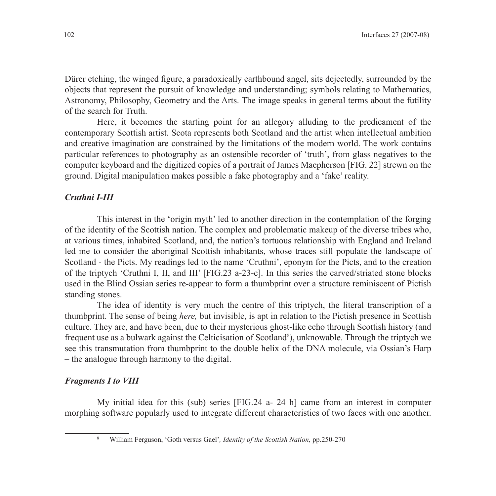Dürer etching, the winged figure, a paradoxically earthbound angel, sits dejectedly, surrounded by the objects that represent the pursuit of knowledge and understanding; symbols relating to Mathematics, Astronomy, Philosophy, Geometry and the Arts. The image speaks in general terms about the futility of the search for Truth.

Here, it becomes the starting point for an allegory alluding to the predicament of the contemporary Scottish artist. Scota represents both Scotland and the artist when intellectual ambition and creative imagination are constrained by the limitations of the modern world. The work contains particular references to photography as an ostensible recorder of 'truth', from glass negatives to the computer keyboard and the digitized copies of a portrait of James Macpherson [FIG. 22] strewn on the ground. Digital manipulation makes possible a fake photography and a 'fake' reality.

### *Cruthni I-III*

This interest in the 'origin myth' led to another direction in the contemplation of the forging of the identity of the Scottish nation. The complex and problematic makeup of the diverse tribes who, at various times, inhabited Scotland, and, the nation's tortuous relationship with England and Ireland led me to consider the aboriginal Scottish inhabitants, whose traces still populate the landscape of Scotland - the Picts. My readings led to the name 'Cruthni', eponym for the Picts, and to the creation of the triptych 'Cruthni I, II, and III' [FIG.23 a-23-c]. In this series the carved/striated stone blocks used in the Blind Ossian series re-appear to form a thumbprint over a structure reminiscent of Pictish standing stones.

The idea of identity is very much the centre of this triptych, the literal transcription of a thumbprint. The sense of being *here,* but invisible, is apt in relation to the Pictish presence in Scottish culture. They are, and have been, due to their mysterious ghost-like echo through Scottish history (and frequent use as a bulwark against the Celticisation of Scotland<sup>8</sup>), unknowable. Through the triptych we see this transmutation from thumbprint to the double helix of the DNA molecule, via Ossian's Harp – the analogue through harmony to the digital.

## *Fragments I to VIII*

My initial idea for this (sub) series [FIG.24 a- 24 h] came from an interest in computer morphing software popularly used to integrate different characteristics of two faces with one another.

<sup>8</sup> William Ferguson, 'Goth versus Gael'*, Identity of the Scottish Nation,* pp.250-270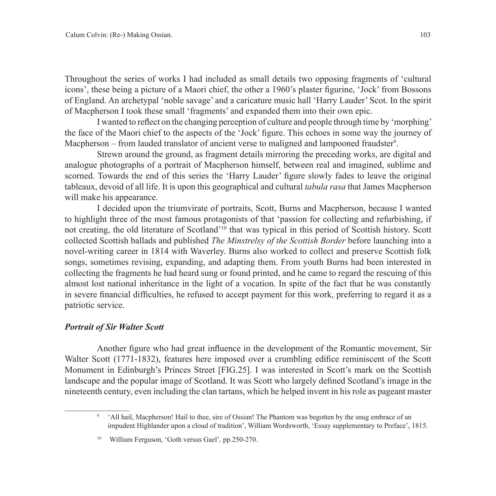Throughout the series of works I had included as small details two opposing fragments of 'cultural icons', these being a picture of a Maori chief, the other a 1960's plaster figurine, 'Jock' from Bossons of England. An archetypal 'noble savage' and a caricature music hall 'Harry Lauder' Scot. In the spirit of Macpherson I took these small 'fragments' and expanded them into their own epic.

I wanted to reflect on the changing perception of culture and people through time by 'morphing' the face of the Maori chief to the aspects of the 'Jock' figure. This echoes in some way the journey of Macpherson – from lauded translator of ancient verse to maligned and lampooned fraudster<sup>9</sup>.

Strewn around the ground, as fragment details mirroring the preceding works, are digital and analogue photographs of a portrait of Macpherson himself, between real and imagined, sublime and scorned. Towards the end of this series the 'Harry Lauder' figure slowly fades to leave the original tableaux, devoid of all life. It is upon this geographical and cultural *tabula rasa* that James Macpherson will make his appearance.

I decided upon the triumvirate of portraits, Scott, Burns and Macpherson, because I wanted to highlight three of the most famous protagonists of that 'passion for collecting and refurbishing, if not creating, the old literature of Scotland'10 that was typical in this period of Scottish history. Scott collected Scottish ballads and published *The Minstrelsy of the Scottish Border* before launching into a novel-writing career in 1814 with Waverley. Burns also worked to collect and preserve Scottish folk songs, sometimes revising, expanding, and adapting them. From youth Burns had been interested in collecting the fragments he had heard sung or found printed, and he came to regard the rescuing of this almost lost national inheritance in the light of a vocation. In spite of the fact that he was constantly in severe financial difficulties, he refused to accept payment for this work, preferring to regard it as a patriotic service.

#### *Portrait of Sir Walter Scott*

Another figure who had great influence in the development of the Romantic movement, Sir Walter Scott (1771-1832), features here imposed over a crumbling edifice reminiscent of the Scott Monument in Edinburgh's Princes Street [FIG.25]. I was interested in Scott's mark on the Scottish landscape and the popular image of Scotland. It was Scott who largely defined Scotland's image in the nineteenth century, even including the clan tartans, which he helped invent in his role as pageant master

<sup>&</sup>lt;sup>9</sup> 'All hail, Macpherson! Hail to thee, sire of Ossian! The Phantom was begotten by the snug embrace of an impudent Highlander upon a cloud of tradition', William Wordsworth, 'Essay supplementary to Preface', 1815.

<sup>10</sup> William Ferguson, 'Goth versus Gael'*,* pp.250-270.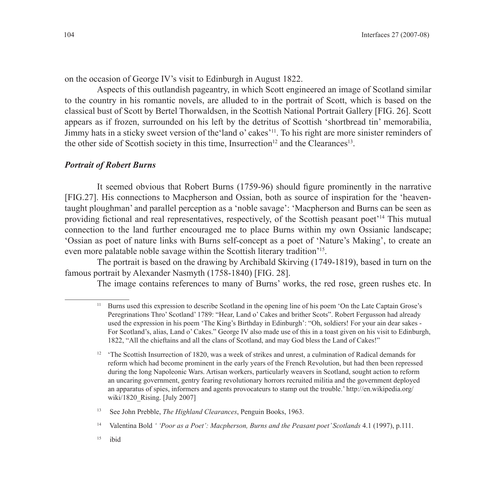on the occasion of George IV's visit to Edinburgh in August 1822.

Aspects of this outlandish pageantry, in which Scott engineered an image of Scotland similar to the country in his romantic novels, are alluded to in the portrait of Scott, which is based on the classical bust of Scott by Bertel Thorwaldsen, in the Scottish National Portrait Gallery [FIG. 26]. Scott appears as if frozen, surrounded on his left by the detritus of Scottish 'shortbread tin' memorabilia, Jimmy hats in a sticky sweet version of the'land o' cakes'11. To his right are more sinister reminders of the other side of Scottish society in this time, Insurrection<sup>12</sup> and the Clearances<sup>13</sup>.

#### *Portrait of Robert Burns*

It seemed obvious that Robert Burns (1759-96) should figure prominently in the narrative [FIG.27]. His connections to Macpherson and Ossian, both as source of inspiration for the 'heaventaught ploughman' and parallel perception as a 'noble savage': 'Macpherson and Burns can be seen as providing fictional and real representatives, respectively, of the Scottish peasant poet'14 This mutual connection to the land further encouraged me to place Burns within my own Ossianic landscape; 'Ossian as poet of nature links with Burns self-concept as a poet of 'Nature's Making', to create an even more palatable noble savage within the Scottish literary tradition'15.

The portrait is based on the drawing by Archibald Skirving (1749-1819), based in turn on the famous portrait by Alexander Nasmyth (1758-1840) [FIG. 28].

The image contains references to many of Burns' works, the red rose, green rushes etc. In

13 See John Prebble, *The Highland Clearances*, Penguin Books, 1963.

15 ibid

<sup>11</sup> Burns used this expression to describe Scotland in the opening line of his poem 'On the Late Captain Grose's Peregrinations Thro' Scotland' 1789: "Hear, Land o' Cakes and brither Scots". Robert Fergusson had already used the expression in his poem 'The King's Birthday in Edinburgh': "Oh, soldiers! For your ain dear sakes - For Scotland's, alias, Land o' Cakes." George IV also made use of this in a toast given on his visit to Edinburgh, 1822, "All the chieftains and all the clans of Scotland, and may God bless the Land of Cakes!"

<sup>&</sup>lt;sup>12</sup> 'The Scottish Insurrection of 1820, was a week of strikes and unrest, a culmination of Radical demands for reform which had become prominent in the early years of the French Revolution, but had then been repressed during the long Napoleonic Wars. Artisan workers, particularly weavers in Scotland, sought action to reform an uncaring government, gentry fearing revolutionary horrors recruited militia and the government deployed an apparatus of spies, informers and agents provocateurs to stamp out the trouble.' http://en.wikipedia.org/ wiki/1820\_Rising. [July 2007]

<sup>14</sup> Valentina Bold *' 'Poor as a Poet': Macpherson, Burns and the Peasant poet' Scotlands* 4.1 (1997), p.111.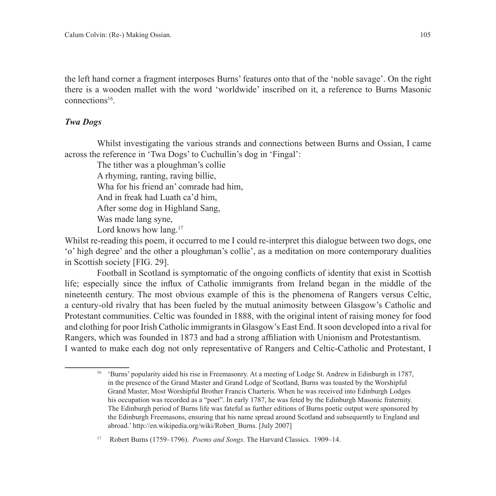the left hand corner a fragment interposes Burns' features onto that of the 'noble savage'. On the right there is a wooden mallet with the word 'worldwide' inscribed on it, a reference to Burns Masonic connections16.

# *Twa Dogs*

Whilst investigating the various strands and connections between Burns and Ossian, I came across the reference in 'Twa Dogs' to Cuchullin's dog in 'Fingal':

The tither was a ploughman's collie A rhyming, ranting, raving billie, Wha for his friend an' comrade had him, And in freak had Luath ca'd him, After some dog in Highland Sang, Was made lang syne, Lord knows how lang.<sup>17</sup>

Whilst re-reading this poem, it occurred to me I could re-interpret this dialogue between two dogs, one 'o' high degree' and the other a ploughman's collie', as a meditation on more contemporary dualities in Scottish society [FIG. 29].

Football in Scotland is symptomatic of the ongoing conflicts of identity that exist in Scottish life; especially since the influx of Catholic immigrants from Ireland began in the middle of the nineteenth century. The most obvious example of this is the phenomena of Rangers versus Celtic, a century-old rivalry that has been fueled by the mutual animosity between Glasgow's Catholic and Protestant communities. Celtic was founded in 1888, with the original intent of raising money for food and clothing for poor Irish Catholic immigrants in Glasgow's East End. It soon developed into a rival for Rangers, which was founded in 1873 and had a strong affiliation with Unionism and Protestantism. I wanted to make each dog not only representative of Rangers and Celtic-Catholic and Protestant, I

<sup>16</sup> 'Burns' popularity aided his rise in Freemasonry. At a meeting of Lodge St. Andrew in Edinburgh in 1787, in the presence of the Grand Master and Grand Lodge of Scotland, Burns was toasted by the Worshipful Grand Master, Most Worshipful Brother Francis Charteris. When he was received into Edinburgh Lodges his occupation was recorded as a "poet". In early 1787, he was feted by the Edinburgh Masonic fraternity. The Edinburgh period of Burns life was fateful as further editions of Burns poetic output were sponsored by the Edinburgh Freemasons, ensuring that his name spread around Scotland and subsequently to England and abroad.' http://en.wikipedia.org/wiki/Robert\_Burns. [July 2007]

<sup>17</sup> Robert Burns (1759–1796). *Poems and Songs*. The Harvard Classics. 1909–14.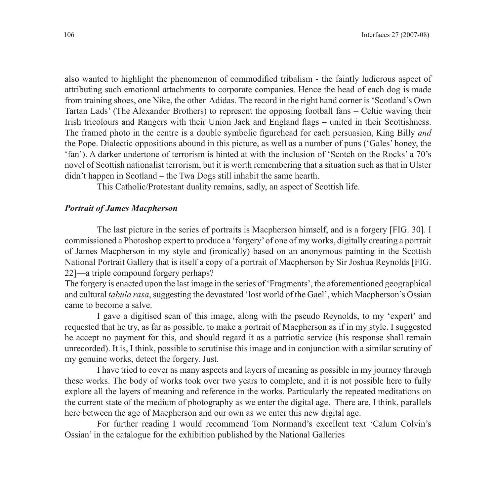also wanted to highlight the phenomenon of commodified tribalism - the faintly ludicrous aspect of attributing such emotional attachments to corporate companies. Hence the head of each dog is made from training shoes, one Nike, the other Adidas. The record in the right hand corner is 'Scotland's Own Tartan Lads' (The Alexander Brothers) to represent the opposing football fans – Celtic waving their Irish tricolours and Rangers with their Union Jack and England flags – united in their Scottishness. The framed photo in the centre is a double symbolic figurehead for each persuasion, King Billy *and* the Pope. Dialectic oppositions abound in this picture, as well as a number of puns ('Gales' honey, the 'fan'). A darker undertone of terrorism is hinted at with the inclusion of 'Scotch on the Rocks' a 70's novel of Scottish nationalist terrorism, but it is worth remembering that a situation such as that in Ulster didn't happen in Scotland – the Twa Dogs still inhabit the same hearth.

This Catholic/Protestant duality remains, sadly, an aspect of Scottish life.

## *Portrait of James Macpherson*

The last picture in the series of portraits is Macpherson himself, and is a forgery [FIG. 30]. I commissioned a Photoshop expert to produce a 'forgery' of one of my works, digitally creating a portrait of James Macpherson in my style and (ironically) based on an anonymous painting in the Scottish National Portrait Gallery that is itself a copy of a portrait of Macpherson by Sir Joshua Reynolds [FIG. 22]—a triple compound forgery perhaps?

The forgery is enacted upon the last image in the series of 'Fragments', the aforementioned geographical and cultural *tabula rasa*, suggesting the devastated 'lost world of the Gael', which Macpherson's Ossian came to become a salve.

I gave a digitised scan of this image, along with the pseudo Reynolds, to my 'expert' and requested that he try, as far as possible, to make a portrait of Macpherson as if in my style. I suggested he accept no payment for this, and should regard it as a patriotic service (his response shall remain unrecorded). It is, I think, possible to scrutinise this image and in conjunction with a similar scrutiny of my genuine works, detect the forgery. Just.

I have tried to cover as many aspects and layers of meaning as possible in my journey through these works. The body of works took over two years to complete, and it is not possible here to fully explore all the layers of meaning and reference in the works. Particularly the repeated meditations on the current state of the medium of photography as we enter the digital age. There are, I think, parallels here between the age of Macpherson and our own as we enter this new digital age.

For further reading I would recommend Tom Normand's excellent text 'Calum Colvin's Ossian' in the catalogue for the exhibition published by the National Galleries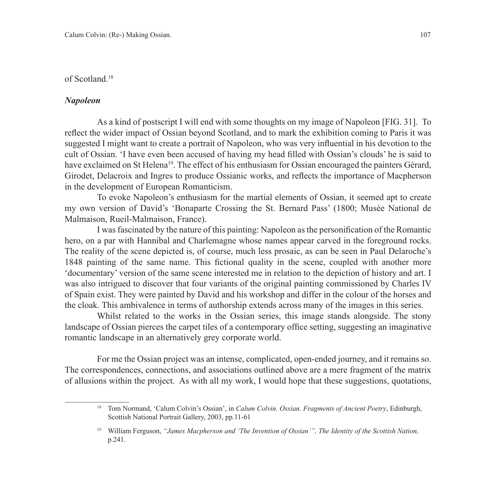#### of Scotland.18

#### *Napoleon*

As a kind of postscript I will end with some thoughts on my image of Napoleon [FIG. 31]. To reflect the wider impact of Ossian beyond Scotland, and to mark the exhibition coming to Paris it was suggested I might want to create a portrait of Napoleon, who was very influential in his devotion to the cult of Ossian. 'I have even been accused of having my head filled with Ossian's clouds' he is said to have exclaimed on St Helena<sup>19</sup>. The effect of his enthusiasm for Ossian encouraged the painters Gérard, Girodet, Delacroix and Ingres to produce Ossianic works, and reflects the importance of Macpherson in the development of European Romanticism.

To evoke Napoleon's enthusiasm for the martial elements of Ossian, it seemed apt to create my own version of David's 'Bonaparte Crossing the St. Bernard Pass' (1800; Musée National de Malmaison, Rueil-Malmaison, France).

I was fascinated by the nature of this painting: Napoleon as the personification of the Romantic hero, on a par with Hannibal and Charlemagne whose names appear carved in the foreground rocks. The reality of the scene depicted is, of course, much less prosaic, as can be seen in Paul Delaroche's 1848 painting of the same name. This fictional quality in the scene, coupled with another more 'documentary' version of the same scene interested me in relation to the depiction of history and art. I was also intrigued to discover that four variants of the original painting commissioned by Charles IV of Spain exist. They were painted by David and his workshop and differ in the colour of the horses and the cloak. This ambivalence in terms of authorship extends across many of the images in this series.

Whilst related to the works in the Ossian series, this image stands alongside. The stony landscape of Ossian pierces the carpet tiles of a contemporary office setting, suggesting an imaginative romantic landscape in an alternatively grey corporate world.

For me the Ossian project was an intense, complicated, open-ended journey, and it remains so. The correspondences, connections, and associations outlined above are a mere fragment of the matrix of allusions within the project. As with all my work, I would hope that these suggestions, quotations,

<sup>18</sup> Tom Normand, 'Calum Colvin's Ossian', in *Calum Colvin. Ossian. Fragments of Ancient Poetry*, Edinburgh, Scottish National Portrait Gallery, 2003, pp.11-61

<sup>19</sup> William Ferguson, *"James Macpherson and 'The Invention of Ossian'", The Identity of the Scottish Nation,* p.241.